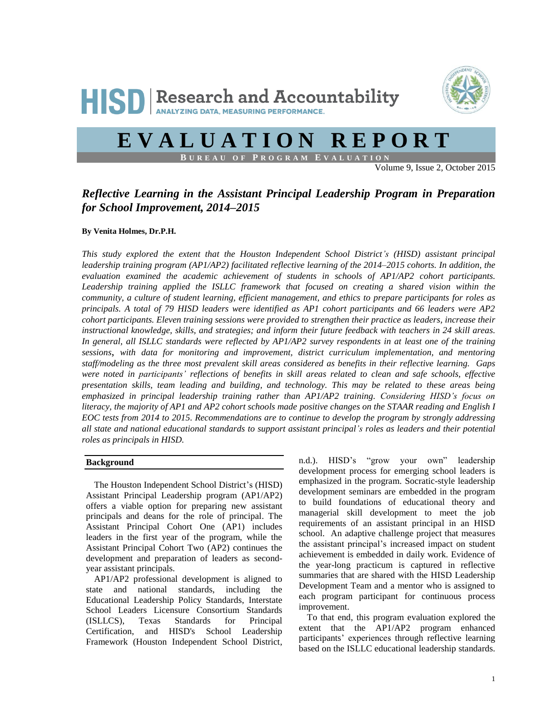

# **E V A L U A T I O N R E P O R T**

**B U R E A U O F P R O G R A M E V A L U A T I O N**

Volume 9, Issue 2, October 2015

# *Reflective Learning in the Assistant Principal Leadership Program in Preparation for School Improvement, 2014–2015*

#### **By Venita Holmes, Dr.P.H.**

*This study explored the extent that the Houston Independent School District's (HISD) assistant principal leadership training program (AP1/AP2) facilitated reflective learning of the 2014–2015 cohorts. In addition, the evaluation examined the academic achievement of students in schools of AP1/AP2 cohort participants. Leadership training applied the ISLLC framework that focused on creating a shared vision within the community, a culture of student learning, efficient management, and ethics to prepare participants for roles as principals. A total of 79 HISD leaders were identified as AP1 cohort participants and 66 leaders were AP2 cohort participants. Eleven training sessions were provided to strengthen their practice as leaders, increase their instructional knowledge, skills, and strategies; and inform their future feedback with teachers in 24 skill areas. In general, all ISLLC standards were reflected by AP1/AP2 survey respondents in at least one of the training sessions*, *with data for monitoring and improvement, district curriculum implementation, and mentoring staff/modeling as the three most prevalent skill areas considered as benefits in their reflective learning. Gaps were noted in participants' reflections of benefits in skill areas related to clean and safe schools, effective presentation skills, team leading and building, and technology. This may be related to these areas being emphasized in principal leadership training rather than AP1/AP2 training. Considering HISD's focus on literacy, the majority of AP1 and AP2 cohort schools made positive changes on the STAAR reading and English I EOC tests from 2014 to 2015. Recommendations are to continue to develop the program by strongly addressing all state and national educational standards to support assistant principal's roles as leaders and their potential roles as principals in HISD.*

# **Background**

The Houston Independent School District's (HISD) Assistant Principal Leadership program (AP1/AP2) offers a viable option for preparing new assistant principals and deans for the role of principal. The Assistant Principal Cohort One (AP1) includes leaders in the first year of the program, while the Assistant Principal Cohort Two (AP2) continues the development and preparation of leaders as secondyear assistant principals.

AP1/AP2 professional development is aligned to state and national standards, including the Educational Leadership Policy Standards, Interstate School Leaders Licensure Consortium Standards (ISLLCS), Texas Standards for Principal Certification, and HISD's School Leadership Framework (Houston Independent School District, n.d.). HISD's "grow your own" leadership development process for emerging school leaders is emphasized in the program. Socratic-style leadership development seminars are embedded in the program to build foundations of educational theory and managerial skill development to meet the job requirements of an assistant principal in an HISD school. An adaptive challenge project that measures the assistant principal's increased impact on student achievement is embedded in daily work. Evidence of the year-long practicum is captured in reflective summaries that are shared with the HISD Leadership Development Team and a mentor who is assigned to each program participant for continuous process improvement.

To that end, this program evaluation explored the extent that the AP1/AP2 program enhanced participants' experiences through reflective learning based on the ISLLC educational leadership standards.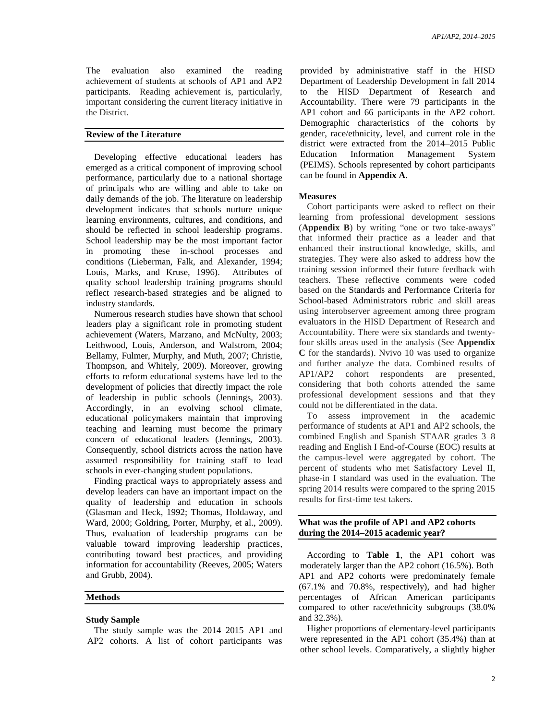The evaluation also examined the reading achievement of students at schools of AP1 and AP2 participants. Reading achievement is, particularly, important considering the current literacy initiative in the District.

# **Review of the Literature**

Developing effective educational leaders has emerged as a critical component of improving school performance, particularly due to a national shortage of principals who are willing and able to take on daily demands of the job. The literature on leadership development indicates that schools nurture unique learning environments, cultures, and conditions, and should be reflected in school leadership programs. School leadership may be the most important factor in promoting these in-school processes and conditions (Lieberman, Falk, and Alexander, 1994; Louis, Marks, and Kruse, 1996). Attributes of quality school leadership training programs should reflect research-based strategies and be aligned to industry standards.

Numerous research studies have shown that school leaders play a significant role in promoting student achievement (Waters, Marzano, and McNulty, 2003; Leithwood, Louis, Anderson, and Walstrom, 2004; Bellamy, Fulmer, Murphy, and Muth, 2007; Christie, Thompson, and Whitely, 2009). Moreover, growing efforts to reform educational systems have led to the development of policies that directly impact the role of leadership in public schools (Jennings, 2003). Accordingly, in an evolving school climate, educational policymakers maintain that improving teaching and learning must become the primary concern of educational leaders (Jennings, 2003). Consequently, school districts across the nation have assumed responsibility for training staff to lead schools in ever-changing student populations.

Finding practical ways to appropriately assess and develop leaders can have an important impact on the quality of leadership and education in schools (Glasman and Heck, 1992; Thomas, Holdaway, and Ward, 2000; Goldring, Porter, Murphy, et al., 2009). Thus, evaluation of leadership programs can be valuable toward improving leadership practices, contributing toward best practices, and providing information for accountability (Reeves, 2005; Waters and Grubb, 2004).

#### **Methods**

#### **Study Sample**

The study sample was the 2014–2015 AP1 and AP2 cohorts. A list of cohort participants was

provided by administrative staff in the HISD Department of Leadership Development in fall 2014 to the HISD Department of Research and Accountability. There were 79 participants in the AP1 cohort and 66 participants in the AP2 cohort. Demographic characteristics of the cohorts by gender, race/ethnicity, level, and current role in the district were extracted from the 2014–2015 Public Education Information Management System (PEIMS). Schools represented by cohort participants can be found in **Appendix A**.

#### **Measures**

Cohort participants were asked to reflect on their learning from professional development sessions (**Appendix B**) by writing "one or two take-aways" that informed their practice as a leader and that enhanced their instructional knowledge, skills, and strategies. They were also asked to address how the training session informed their future feedback with teachers. These reflective comments were coded based on the Standards and Performance Criteria for School-based Administrators rubric and skill areas using interobserver agreement among three program evaluators in the HISD Department of Research and Accountability. There were six standards and twentyfour skills areas used in the analysis (See **Appendix C** for the standards). Nvivo 10 was used to organize and further analyze the data. Combined results of AP1/AP2 cohort respondents are presented, considering that both cohorts attended the same professional development sessions and that they could not be differentiated in the data.

To assess improvement in the academic performance of students at AP1 and AP2 schools, the combined English and Spanish STAAR grades 3–8 reading and English I End-of-Course (EOC) results at the campus-level were aggregated by cohort. The percent of students who met Satisfactory Level II, phase-in I standard was used in the evaluation. The spring 2014 results were compared to the spring 2015 results for first-time test takers.

#### **What was the profile of AP1 and AP2 cohorts during the 2014–2015 academic year?**

According to **Table 1**, the AP1 cohort was moderately larger than the AP2 cohort (16.5%). Both AP1 and AP2 cohorts were predominately female (67.1% and 70.8%, respectively), and had higher percentages of African American participants compared to other race/ethnicity subgroups (38.0% and 32.3%).

Higher proportions of elementary-level participants were represented in the AP1 cohort (35.4%) than at other school levels. Comparatively, a slightly higher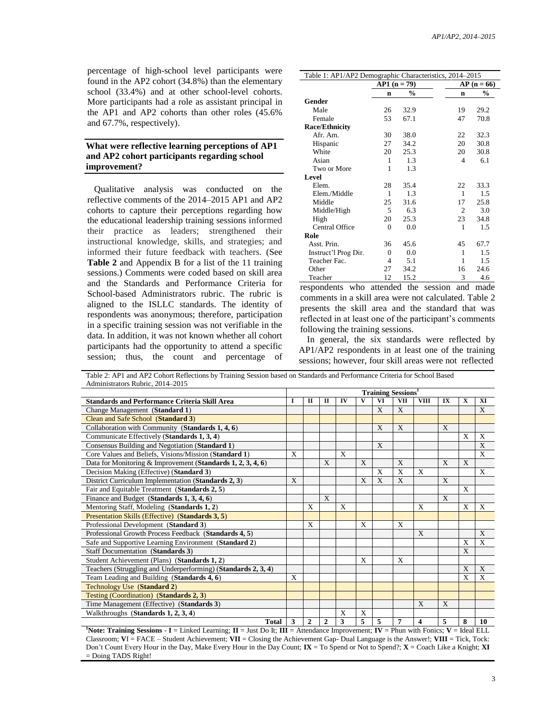percentage of high-school level participants were found in the AP2 cohort (34.8%) than the elementary school (33.4%) and at other school-level cohorts. More participants had a role as assistant principal in the AP1 and AP2 cohorts than other roles (45.6% and 67.7%, respectively).

# **What were reflective learning perceptions of AP1 and AP2 cohort participants regarding school improvement?**

Qualitative analysis was conducted on the reflective comments of the 2014–2015 AP1 and AP2 cohorts to capture their perceptions regarding how the educational leadership training sessions informed their practice as leaders; strengthened their instructional knowledge, skills, and strategies; and informed their future feedback with teachers. (See **Table 2** and Appendix B for a list of the 11 training sessions.) Comments were coded based on skill area and the Standards and Performance Criteria for School-based Administrators rubric. The rubric is aligned to the ISLLC standards. The identity of respondents was anonymous; therefore, participation in a specific training session was not verifiable in the data. In addition, it was not known whether all cohort participants had the opportunity to attend a specific session; thus, the count and percentage of

| Table 1: AP1/AP2 Demographic Characteristics, 2014-2015 |             |               |  |                |               |  |
|---------------------------------------------------------|-------------|---------------|--|----------------|---------------|--|
|                                                         | $AP1(n=79)$ |               |  | $AP(n = 66)$   |               |  |
|                                                         | n           | $\frac{0}{0}$ |  | n              | $\frac{0}{0}$ |  |
| Gender                                                  |             |               |  |                |               |  |
| Male                                                    | 26          | 32.9          |  | 19             | 29.2          |  |
| Female                                                  | 53          | 67.1          |  | 47             | 70.8          |  |
| <b>Race/Ethnicity</b>                                   |             |               |  |                |               |  |
| Afr. Am.                                                | 30          | 38.0          |  | 22             | 32.3          |  |
| Hispanic                                                | 27          | 34.2          |  | 20             | 30.8          |  |
| White                                                   | 20          | 25.3          |  | 20             | 30.8          |  |
| Asian                                                   | 1           | 1.3           |  | $\overline{4}$ | 6.1           |  |
| Two or More                                             | 1           | 1.3           |  |                |               |  |
| <b>Level</b>                                            |             |               |  |                |               |  |
| Elem.                                                   | 28          | 35.4          |  | 22             | 33.3          |  |
| Elem./Middle                                            | 1           | 1.3           |  | $\mathbf{1}$   | 1.5           |  |
| Middle                                                  | 25          | 31.6          |  | 17             | 25.8          |  |
| Middle/High                                             | 5           | 6.3           |  | 2              | 3.0           |  |
| High                                                    | 20          | 25.3          |  | 23             | 34.8          |  |
| Central Office                                          | $\theta$    | 0.0           |  | 1              | 1.5           |  |
| Role                                                    |             |               |  |                |               |  |
| Asst. Prin.                                             | 36          | 45.6          |  | 45             | 67.7          |  |
| Instruct'l Prog Dir.                                    | $\theta$    | 0.0           |  | 1              | 1.5           |  |
| Teacher Fac.                                            | 4           | 5.1           |  | 1              | 1.5           |  |
| Other                                                   | 27          | 34.2          |  | 16             | 24.6          |  |
| Teacher                                                 | 12          | 15.2          |  | 3              | 4.6           |  |

respondents who attended the session and made comments in a skill area were not calculated. Table 2 presents the skill area and the standard that was reflected in at least one of the participant's comments following the training sessions.

In general, the six standards were reflected by AP1/AP2 respondents in at least one of the training sessions; however, four skill areas were not reflected

Table 2: AP1 and AP2 Cohort Reflections by Training Session based on Standards and Performance Criteria for School Based Administrators Rubric, 2014–2015

|                                                                | <b>Training Sessions<sup>†</sup></b> |              |   |              |              |              |     |              |    |   |              |
|----------------------------------------------------------------|--------------------------------------|--------------|---|--------------|--------------|--------------|-----|--------------|----|---|--------------|
| <b>Standards and Performance Criteria Skill Area</b>           | 1                                    | п            | п | IV           | V            | VI           | VII | <b>VIII</b>  | IX | X | XI           |
| Change Management (Standard 1)                                 |                                      |              |   |              |              | X            | X   |              |    |   | X            |
| Clean and Safe School (Standard 3)                             |                                      |              |   |              |              |              |     |              |    |   |              |
| Collaboration with Community (Standards 1, 4, 6)               |                                      |              |   |              |              | X            | X   |              | X  |   |              |
| Communicate Effectively (Standards 1, 3, 4)                    |                                      |              |   |              |              |              |     |              |    | X | X            |
| Consensus Building and Negotiation (Standard 1)                |                                      |              |   |              |              | X            |     |              |    |   | X            |
| Core Values and Beliefs, Visions/Mission (Standard 1)          | X                                    |              |   | $\mathbf{X}$ |              |              |     |              |    |   | X            |
| Data for Monitoring & Improvement (Standards $1, 2, 3, 4, 6$ ) |                                      |              | X |              | X            |              | X   |              | X  | X |              |
| Decision Making (Effective) (Standard 3)                       |                                      |              |   |              |              | X            | X   | $\mathbf{X}$ |    |   | X            |
| District Curriculum Implementation (Standards 2, 3)            | $\mathbf{X}$                         |              |   |              | $\mathbf{x}$ | $\mathbf{x}$ | X   |              | X  |   |              |
| Fair and Equitable Treatment (Standards 2, 5)                  |                                      |              |   |              |              |              |     |              |    | X |              |
| Finance and Budget (Standards 1, 3, 4, 6)                      |                                      |              | X |              |              |              |     |              | X  |   |              |
| Mentoring Staff, Modeling (Standards 1, 2)                     |                                      | X            |   | X            |              |              |     | X            |    | X | $\mathbf{X}$ |
| Presentation Skills (Effective) (Standards 3, 5)               |                                      |              |   |              |              |              |     |              |    |   |              |
| Professional Development (Standard 3)                          |                                      | X            |   |              | X            |              | X   |              |    |   |              |
| Professional Growth Process Feedback (Standards 4, 5)          |                                      |              |   |              |              |              |     | X            |    |   | X            |
| Safe and Supportive Learning Environment (Standard 2)          |                                      |              |   |              |              |              |     |              |    | X | $\mathbf x$  |
| Staff Documentation (Standards 3)                              |                                      |              |   |              |              |              |     |              |    | X |              |
| Student Achievement (Plans) (Standards 1, 2)                   |                                      |              |   |              | X            |              | X   |              |    |   |              |
| Teachers (Struggling and Underperforming) (Standards 2, 3, 4)  |                                      |              |   |              |              |              |     |              |    | X | X            |
| Team Leading and Building (Standards 4, 6)                     | X                                    |              |   |              |              |              |     |              |    | X | X            |
| Technology Use (Standard 2)                                    |                                      |              |   |              |              |              |     |              |    |   |              |
| Testing (Coordination) (Standards 2, 3)                        |                                      |              |   |              |              |              |     |              |    |   |              |
| Time Management (Effective) (Standards 3)                      |                                      |              |   |              |              |              |     | X            | X  |   |              |
| Walkthroughs $(Standards 1, 2, 3, 4)$                          |                                      |              |   | X            | X            |              |     |              |    |   |              |
| <b>Total</b>                                                   | 3                                    | $\mathbf{2}$ | 2 | 3            | 5            | 5            | 7   | 4            | 5  | 8 | 10           |

**†Note: Training Sessions** - **I** = Linked Learning; **II** = Just Do It; **III** = Attendance Improvement; **IV** = Phun with Fonics; **V** = Ideal ELL Classroom; **V**I = FACE – Student Achievement; **VII** = Closing the Achievement Gap- Dual Language is the Answer!; **VIII** = Tick, Tock: Don't Count Every Hour in the Day, Make Every Hour in the Day Count; **IX** = To Spend or Not to Spend?; **X** = Coach Like a Knight; **XI**  = Doing TADS Right!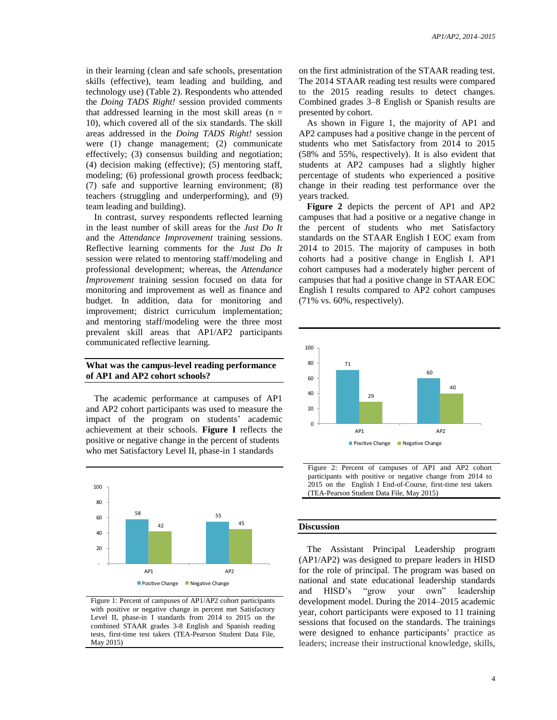in their learning (clean and safe schools, presentation skills (effective), team leading and building, and technology use) (Table 2). Respondents who attended the *Doing TADS Right!* session provided comments that addressed learning in the most skill areas  $(n =$ 10), which covered all of the six standards. The skill areas addressed in the *Doing TADS Right!* session were (1) change management; (2) communicate effectively; (3) consensus building and negotiation; (4) decision making (effective); (5) mentoring staff, modeling; (6) professional growth process feedback; (7) safe and supportive learning environment; (8) teachers (struggling and underperforming), and (9) team leading and building).

In contrast, survey respondents reflected learning in the least number of skill areas for the *Just Do It* and the *Attendance Improvement* training sessions. Reflective learning comments for the *Just Do It* session were related to mentoring staff/modeling and professional development; whereas, the *Attendance Improvement* training session focused on data for monitoring and improvement as well as finance and budget. In addition, data for monitoring and improvement; district curriculum implementation; and mentoring staff/modeling were the three most prevalent skill areas that AP1/AP2 participants communicated reflective learning.

### **What was the campus-level reading performance of AP1 and AP2 cohort schools?**

The academic performance at campuses of AP1 and AP2 cohort participants was used to measure the impact of the program on students' academic achievement at their schools. **Figure I** reflects the positive or negative change in the percent of students who met Satisfactory Level II, phase-in 1 standards



Figure 1: Percent of campuses of AP1/AP2 cohort participants with positive or negative change in percent met Satisfactory Level II, phase-in I standards from 2014 to 2015 on the combined STAAR grades 3-8 English and Spanish reading tests, first-time test takers (TEA-Pearson Student Data File, May 2015)

on the first administration of the STAAR reading test. The 2014 STAAR reading test results were compared to the 2015 reading results to detect changes. Combined grades 3–8 English or Spanish results are presented by cohort.

As shown in Figure 1, the majority of AP1 and AP2 campuses had a positive change in the percent of students who met Satisfactory from 2014 to 2015 (58% and 55%, respectively). It is also evident that students at AP2 campuses had a slightly higher percentage of students who experienced a positive change in their reading test performance over the years tracked.

**Figure 2** depicts the percent of AP1 and AP2 campuses that had a positive or a negative change in the percent of students who met Satisfactory standards on the STAAR English I EOC exam from 2014 to 2015. The majority of campuses in both cohorts had a positive change in English I. AP1 cohort campuses had a moderately higher percent of campuses that had a positive change in STAAR EOC English I results compared to AP2 cohort campuses (71% vs. 60%, respectively).



Figure 2: Percent of campuses of AP1 and AP2 cohort participants with positive or negative change from 2014 to 2015 on the English I End-of-Course, first-time test takers (TEA-Pearson Student Data File, May 2015)

#### **Discussion**

The Assistant Principal Leadership program (AP1/AP2) was designed to prepare leaders in HISD for the role of principal. The program was based on national and state educational leadership standards and HISD's "grow your own" leadership development model. During the 2014–2015 academic year, cohort participants were exposed to 11 training sessions that focused on the standards. The trainings were designed to enhance participants' practice as leaders; increase their instructional knowledge, skills,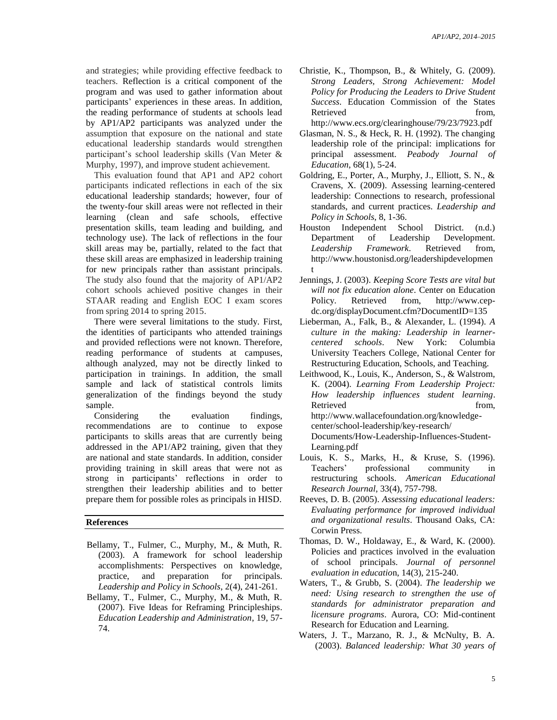and strategies; while providing effective feedback to teachers. Reflection is a critical component of the program and was used to gather information about participants' experiences in these areas. In addition, the reading performance of students at schools lead by AP1/AP2 participants was analyzed under the assumption that exposure on the national and state educational leadership standards would strengthen participant's school leadership skills (Van Meter & Murphy, 1997), and improve student achievement.

This evaluation found that AP1 and AP2 cohort participants indicated reflections in each of the six educational leadership standards; however, four of the twenty-four skill areas were not reflected in their learning (clean and safe schools, effective presentation skills, team leading and building, and technology use). The lack of reflections in the four skill areas may be, partially, related to the fact that these skill areas are emphasized in leadership training for new principals rather than assistant principals. The study also found that the majority of AP1/AP2 cohort schools achieved positive changes in their STAAR reading and English EOC I exam scores from spring 2014 to spring 2015.

There were several limitations to the study. First, the identities of participants who attended trainings and provided reflections were not known. Therefore, reading performance of students at campuses, although analyzed, may not be directly linked to participation in trainings. In addition, the small sample and lack of statistical controls limits generalization of the findings beyond the study sample.

Considering the evaluation findings, recommendations are to continue to expose participants to skills areas that are currently being addressed in the AP1/AP2 training, given that they are national and state standards. In addition, consider providing training in skill areas that were not as strong in participants' reflections in order to strengthen their leadership abilities and to better prepare them for possible roles as principals in HISD.

#### **References**

- Bellamy, T., Fulmer, C., Murphy, M., & Muth, R. (2003). A framework for school leadership accomplishments: Perspectives on knowledge, practice, and preparation for principals. *Leadership and Policy in Schools*, 2(4), 241-261.
- Bellamy, T., Fulmer, C., Murphy, M., & Muth, R. (2007). Five Ideas for Reframing Principleships. *Education Leadership and Administration*, 19, 57- 74.

Christie, K., Thompson, B., & Whitely, G. (2009). *Strong Leaders, Strong Achievement: Model Policy for Producing the Leaders to Drive Student Success*. Education Commission of the States Retrieved from,

http://www.ecs.org/clearinghouse/79/23/7923.pdf

- Glasman, N. S., & Heck, R. H. (1992). The changing leadership role of the principal: implications for principal assessment. *Peabody Journal of Education*, 68(1), 5-24.
- Goldring, E., Porter, A., Murphy, J., Elliott, S. N., & Cravens, X. (2009). Assessing learning-centered leadership: Connections to research, professional standards, and current practices. *Leadership and Policy in Schools*, 8, 1-36.
- Houston Independent School District. (n.d.) Department of Leadership Development. *Leadership Framework*. Retrieved from, http://www.houstonisd.org/leadershipdevelopmen t
- Jennings, J. (2003). *Keeping Score Tests are vital but will not fix education alone*. Center on Education Policy. Retrieved from, http://www.cepdc.org/displayDocument.cfm?DocumentID=135
- Lieberman, A., Falk, B., & Alexander, L. (1994). *A culture in the making: Leadership in learnercentered schools*. New York: Columbia University Teachers College, National Center for Restructuring Education, Schools, and Teaching.
- Leithwood, K., Louis, K., Anderson, S., & Walstrom, K. (2004). *Learning From Leadership Project: How leadership influences student learning*. Retrieved from, http://www.wallacefoundation.org/knowledgecenter/school-leadership/key-research/ Documents/How-Leadership-Influences-Student-Learning.pdf
- Louis, K. S., Marks, H., & Kruse, S. (1996). Teachers' professional community in restructuring schools. *American Educational Research Journal*, 33(4), 757-798.
- Reeves, D. B. (2005). *Assessing educational leaders: Evaluating performance for improved individual and organizational results*. Thousand Oaks, CA: Corwin Press.
- Thomas, D. W., Holdaway, E., & Ward, K. (2000). Policies and practices involved in the evaluation of school principals. *Journal of personnel evaluation in educatio*n, 14(3), 215-240.
- Waters, T., & Grubb, S. (2004). *The leadership we need: Using research to strengthen the use of standards for administrator preparation and licensure programs*. Aurora, CO: Mid-continent Research for Education and Learning.
- Waters, J. T., Marzano, R. J., & McNulty, B. A. (2003). *Balanced leadership: What 30 years of*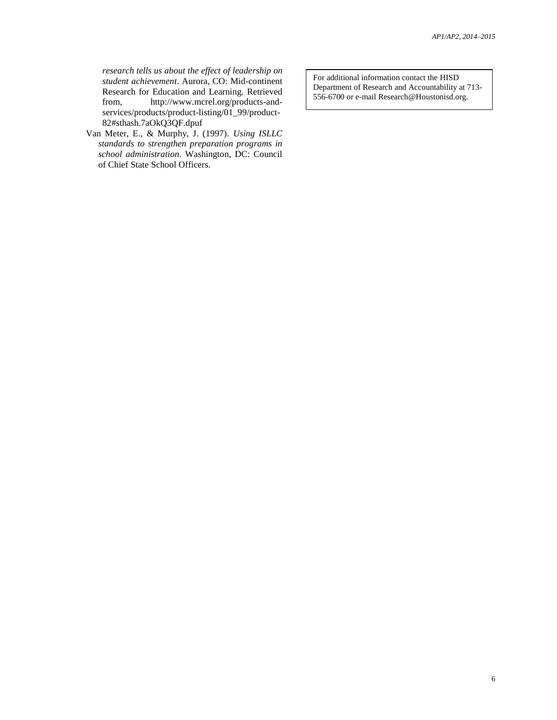*research tells us about the effect of leadership on student achievement*. Aurora, CO: Mid-continent Research for Education and Learning. Retrieved from, http://www.mcrel.org/products-andservices/products/product-listing/01\_99/product-82#sthash.7aOkQ3QF.dpuf

Van Meter, E., & Murphy, J. (1997). *Using ISLLC standards to strengthen preparation programs in school administration*. Washington, DC: Council of Chief State School Officers.

For additional information contact the HISD Department of Research and Accountability at 713- 556-6700 or e-mail Research@Houstonisd.org.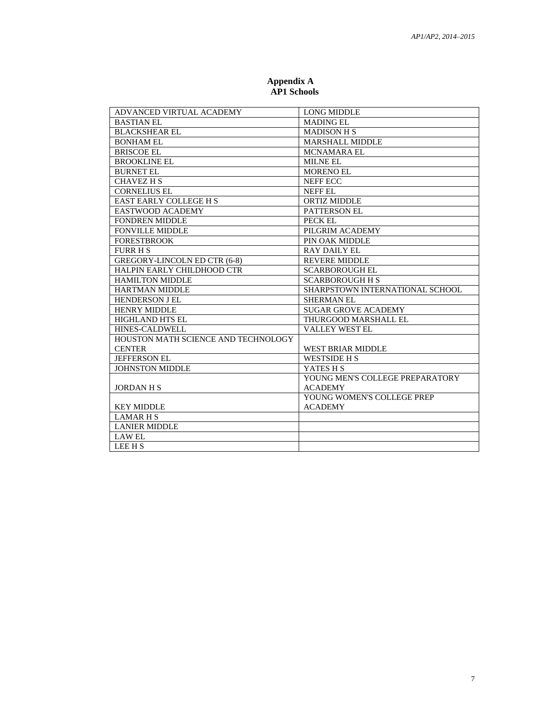| ADVANCED VIRTUAL ACADEMY            | <b>LONG MIDDLE</b>              |
|-------------------------------------|---------------------------------|
| <b>BASTIAN EL</b>                   | <b>MADING EL</b>                |
| <b>BLACKSHEAR EL</b>                | <b>MADISON H S</b>              |
| <b>BONHAM EL</b>                    | MARSHALL MIDDLE                 |
| <b>BRISCOE EL</b>                   | <b>MCNAMARA EL</b>              |
| <b>BROOKLINE EL</b>                 | MILNE EL                        |
| <b>BURNET EL</b>                    | <b>MORENO EL</b>                |
| <b>CHAVEZ H S</b>                   | <b>NEFF ECC</b>                 |
| <b>CORNELIUS EL</b>                 | NEFF EL                         |
| <b>EAST EARLY COLLEGE H S</b>       | <b>ORTIZ MIDDLE</b>             |
| EASTWOOD ACADEMY                    | <b>PATTERSON EL</b>             |
| <b>FONDREN MIDDLE</b>               | PECK EL                         |
| <b>FONVILLE MIDDLE</b>              | PILGRIM ACADEMY                 |
| <b>FORESTBROOK</b>                  | PIN OAK MIDDLE                  |
| <b>FURR H S</b>                     | <b>RAY DAILY EL</b>             |
| GREGORY-LINCOLN ED CTR (6-8)        | <b>REVERE MIDDLE</b>            |
| HALPIN EARLY CHILDHOOD CTR          | <b>SCARBOROUGH EL</b>           |
| <b>HAMILTON MIDDLE</b>              | <b>SCARBOROUGH H S</b>          |
| <b>HARTMAN MIDDLE</b>               | SHARPSTOWN INTERNATIONAL SCHOOL |
| <b>HENDERSON J EL</b>               | <b>SHERMAN EL</b>               |
| <b>HENRY MIDDLE</b>                 | <b>SUGAR GROVE ACADEMY</b>      |
| <b>HIGHLAND HTS EL</b>              | THURGOOD MARSHALL EL            |
| HINES-CALDWELL                      | <b>VALLEY WEST EL</b>           |
| HOUSTON MATH SCIENCE AND TECHNOLOGY |                                 |
| <b>CENTER</b>                       | <b>WEST BRIAR MIDDLE</b>        |
| JEFFERSON EL                        | <b>WESTSIDE H S</b>             |
| <b>JOHNSTON MIDDLE</b>              | YATES H S                       |
|                                     | YOUNG MEN'S COLLEGE PREPARATORY |
| <b>JORDAN H S</b>                   | <b>ACADEMY</b>                  |
|                                     | YOUNG WOMEN'S COLLEGE PREP      |
| <b>KEY MIDDLE</b>                   | <b>ACADEMY</b>                  |
| <b>LAMARHS</b>                      |                                 |
| <b>LANIER MIDDLE</b>                |                                 |
| <b>LAW EL</b>                       |                                 |
| LEE H S                             |                                 |

#### **Appendix A AP1 Schools**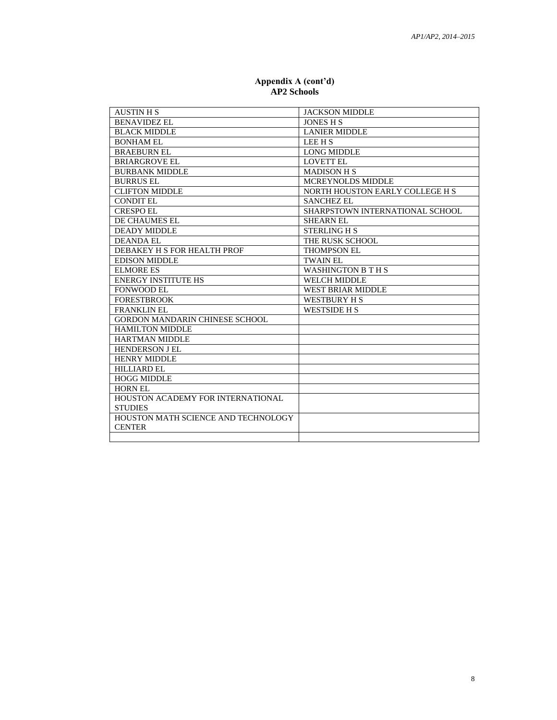| <b>AUSTIN H S</b>                     | <b>JACKSON MIDDLE</b>           |
|---------------------------------------|---------------------------------|
| <b>BENAVIDEZ EL</b>                   | <b>JONES H S</b>                |
| <b>BLACK MIDDLE</b>                   | <b>LANIER MIDDLE</b>            |
| <b>BONHAM EL</b>                      | <b>LEE H S</b>                  |
| <b>BRAEBURN EL</b>                    | LONG MIDDLE                     |
| <b>BRIARGROVE EL</b>                  | <b>LOVETT EL</b>                |
| <b>BURBANK MIDDLE</b>                 | <b>MADISON H S</b>              |
| <b>BURRUS EL</b>                      | <b>MCREYNOLDS MIDDLE</b>        |
| <b>CLIFTON MIDDLE</b>                 | NORTH HOUSTON EARLY COLLEGE H S |
| <b>CONDIT EL</b>                      | <b>SANCHEZ EL</b>               |
| <b>CRESPO EL</b>                      | SHARPSTOWN INTERNATIONAL SCHOOL |
| DE CHAUMES EL                         | <b>SHEARN EL</b>                |
| <b>DEADY MIDDLE</b>                   | <b>STERLING H S</b>             |
| <b>DEANDA EL</b>                      | THE RUSK SCHOOL                 |
| DEBAKEY H S FOR HEALTH PROF           | <b>THOMPSON EL</b>              |
| <b>EDISON MIDDLE</b>                  | <b>TWAIN EL</b>                 |
| ELMORE ES                             | <b>WASHINGTON B T H S</b>       |
| <b>ENERGY INSTITUTE HS</b>            | WELCH MIDDLE                    |
| <b>FONWOOD EL</b>                     | <b>WEST BRIAR MIDDLE</b>        |
| <b>FORESTBROOK</b>                    | WESTBURY H S                    |
| <b>FRANKLIN EL</b>                    | <b>WESTSIDE H S</b>             |
| <b>GORDON MANDARIN CHINESE SCHOOL</b> |                                 |
| <b>HAMILTON MIDDLE</b>                |                                 |
| <b>HARTMAN MIDDLE</b>                 |                                 |
| <b>HENDERSON J EL</b>                 |                                 |
| <b>HENRY MIDDLE</b>                   |                                 |
| <b>HILLIARD EL</b>                    |                                 |
| <b>HOGG MIDDLE</b>                    |                                 |
| <b>HORN EL</b>                        |                                 |
| HOUSTON ACADEMY FOR INTERNATIONAL     |                                 |
| <b>STUDIES</b>                        |                                 |
| HOUSTON MATH SCIENCE AND TECHNOLOGY   |                                 |
| <b>CENTER</b>                         |                                 |
|                                       |                                 |

#### **Appendix A (cont'd) AP2 Schools**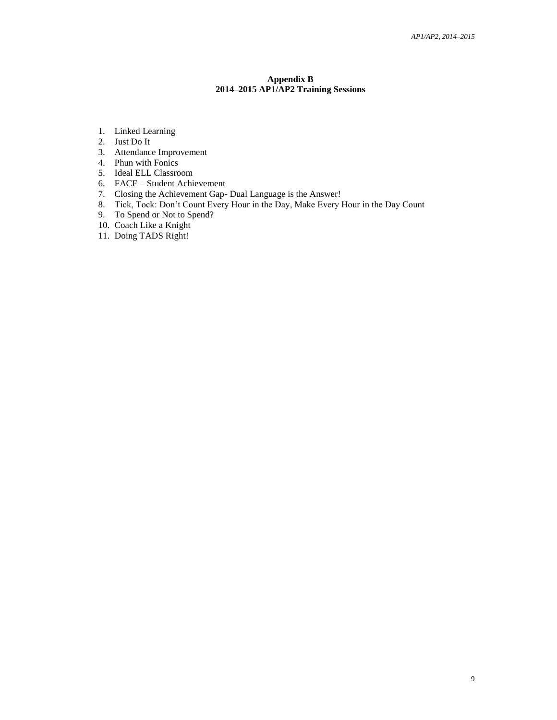### **Appendix B 2014–2015 AP1/AP2 Training Sessions**

- 1. Linked Learning
- 2. Just Do It
- 3. Attendance Improvement
- 4. Phun with Fonics
- 5. Ideal ELL Classroom
- 6. FACE Student Achievement
- 7. Closing the Achievement Gap- Dual Language is the Answer!
- 8. Tick, Tock: Don't Count Every Hour in the Day, Make Every Hour in the Day Count
- 9. To Spend or Not to Spend?
- 10. Coach Like a Knight
- 11. Doing TADS Right!